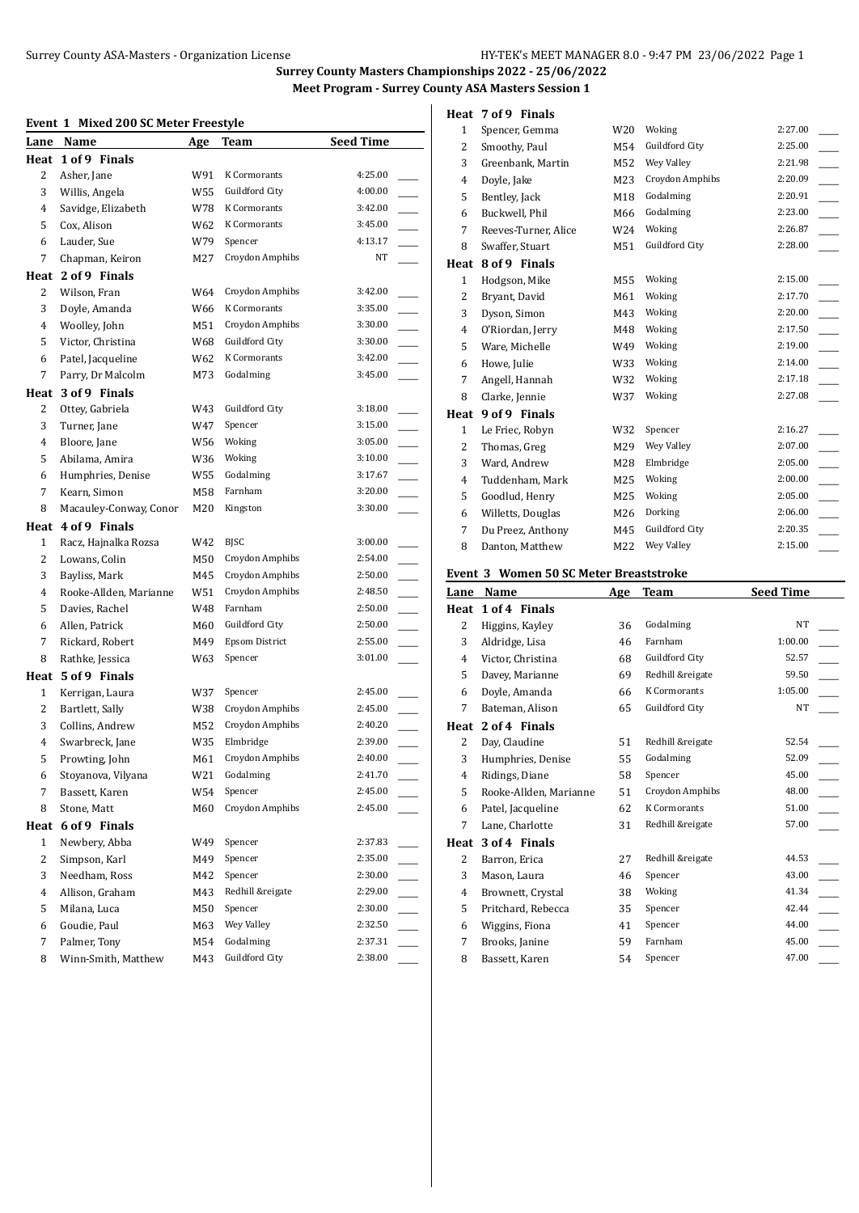#### **Event 1 Mixed 200 SC Meter Freestyle**

| LIVLIIL        | <b>MACU ZOO JG MCWI TTCCSGIC</b><br>Lane Name |     |                       | <b>Seed Time</b>          |
|----------------|-----------------------------------------------|-----|-----------------------|---------------------------|
|                | Heat 1 of 9 Finals                            | Age | Team                  |                           |
| 2              |                                               | W91 | K Cormorants          | 4:25.00                   |
| 3              | Asher, Jane<br>Willis, Angela                 | W55 | Guildford City        | 4:00.00                   |
| 4              | Savidge, Elizabeth                            | W78 | K Cormorants          | 3:42.00                   |
| 5              |                                               | W62 | K Cormorants          | 3:45.00                   |
| 6              | Cox, Alison<br>Lauder, Sue                    | W79 | Spencer               | 4:13.17                   |
| 7              |                                               |     | Croydon Amphibs       | NT                        |
|                | Chapman, Keiron                               | M27 |                       |                           |
| Heat           | 2 of 9 Finals                                 |     |                       |                           |
| 2              | Wilson, Fran                                  | W64 | Croydon Amphibs       | 3:42.00                   |
| 3              | Doyle, Amanda                                 | W66 | K Cormorants          | 3:35.00                   |
| 4              | Woolley, John                                 | M51 | Croydon Amphibs       | 3:30.00                   |
| 5              | Victor, Christina                             | W68 | Guildford City        | 3:30.00                   |
| 6              | Patel, Jacqueline                             | W62 | K Cormorants          | 3:42.00                   |
| 7              | Parry, Dr Malcolm                             | M73 | Godalming             | 3:45.00                   |
|                | Heat 3 of 9 Finals                            |     |                       |                           |
| 2              | Ottev, Gabriela                               | W43 | Guildford City        | 3:18.00                   |
| 3              | Turner, Jane                                  | W47 | Spencer               | 3:15.00                   |
| 4              | Bloore, Jane                                  | W56 | Woking                | 3:05.00                   |
| 5              | Abilama, Amira                                | W36 | Woking                | 3:10.00                   |
| 6              | Humphries, Denise                             | W55 | Godalming             | 3:17.67                   |
| 7              | Kearn, Simon                                  | M58 | Farnham               | 3:20.00                   |
| 8              | Macauley-Conway, Conor                        | M20 | Kingston              | 3:30.00                   |
| Heat           | 4 of 9 Finals                                 |     |                       |                           |
| $\mathbf{1}$   | Racz, Hajnalka Rozsa                          | W42 | BJSC                  | 3:00.00                   |
| 2              | Lowans, Colin                                 | M50 | Croydon Amphibs       | 2:54.00                   |
| 3              | Bayliss, Mark                                 | M45 | Croydon Amphibs       | 2:50.00                   |
| 4              | Rooke-Allden, Marianne                        | W51 | Croydon Amphibs       | 2:48.50                   |
| 5              | Davies, Rachel                                | W48 | Farnham               | 2:50.00<br>$\overline{a}$ |
| 6              | Allen, Patrick                                | M60 | Guildford City        | 2:50.00                   |
| 7              | Rickard, Robert                               | M49 | <b>Epsom District</b> | 2:55.00                   |
| 8              | Rathke, Jessica                               | W63 | Spencer               | 3:01.00                   |
| Heat           | 5 of 9 Finals                                 |     |                       |                           |
| $\mathbf{1}$   | Kerrigan, Laura                               | W37 | Spencer               | 2:45.00                   |
| 2              | Bartlett, Sally                               | W38 | Croydon Amphibs       | 2:45.00                   |
| 3              | Collins, Andrew                               | M52 | Croydon Amphibs       | 2:40.20                   |
| 4              | Swarbreck, Jane                               | W35 | Elmbridge             | 2:39.00                   |
| 5              | Prowting, John                                | M61 | Croydon Amphibs       | 2:40.00                   |
| 6              | Stoyanova, Vilyana                            | W21 | Godalming             | 2:41.70                   |
| 7              | Bassett, Karen                                | W54 | Spencer               | 2:45.00                   |
| 8              | Stone, Matt                                   | M60 | Croydon Amphibs       | 2:45.00                   |
| Heat           | 6 of 9 Finals                                 |     |                       |                           |
| $\mathbf{1}$   | Newbery, Abba                                 | W49 | Spencer               | 2:37.83                   |
| $\overline{c}$ | Simpson, Karl                                 | M49 | Spencer               | 2:35.00                   |
| 3              | Needham, Ross                                 | M42 | Spencer               | 2:30.00                   |
| $\overline{4}$ | Allison, Graham                               | M43 | Redhill &reigate      | 2:29.00                   |
| 5              | Milana, Luca                                  | M50 | Spencer               | 2:30.00                   |
| 6              | Goudie, Paul                                  | M63 | Wey Valley            | 2:32.50                   |
| 7              | Palmer, Tony                                  | M54 | Godalming             | 2:37.31                   |
| 8              | Winn-Smith, Matthew                           | M43 | <b>Guildford City</b> | 2:38.00                   |

## **Heat 7 of 9 Finals**

| 1            | Spencer, Gemma       | W20 | Woking          | 2:27.00 |  |
|--------------|----------------------|-----|-----------------|---------|--|
| 2            | Smoothy, Paul        | M54 | Guildford City  | 2:25.00 |  |
| 3            | Greenbank, Martin    | M52 | Wey Valley      | 2:21.98 |  |
| 4            | Doyle, Jake          | M23 | Croydon Amphibs | 2:20.09 |  |
| 5            | Bentley, Jack        | M18 | Godalming       | 2:20.91 |  |
| 6            | Buckwell, Phil       | M66 | Godalming       | 2:23.00 |  |
| 7            | Reeves-Turner, Alice | W24 | Woking          | 2:26.87 |  |
| 8            | Swaffer, Stuart      | M51 | Guildford City  | 2:28.00 |  |
| Heat         | 8 of 9 Finals        |     |                 |         |  |
| $\mathbf{1}$ | Hodgson, Mike        | M55 | Woking          | 2:15.00 |  |
| 2            | Bryant, David        | M61 | Woking          | 2:17.70 |  |
| 3            | Dyson, Simon         | M43 | Woking          | 2:20.00 |  |
| 4            | O'Riordan, Jerry     | M48 | Woking          | 2:17.50 |  |
| 5            | Ware, Michelle       | W49 | Woking          | 2:19.00 |  |
| 6            | Howe, Julie          | W33 | Woking          | 2:14.00 |  |
| 7            | Angell, Hannah       | W32 | Woking          | 2:17.18 |  |
| 8            | Clarke, Jennie       | W37 | Woking          | 2:27.08 |  |
| Heat         | 9 of 9 Finals        |     |                 |         |  |
| $\mathbf{1}$ | Le Friec, Robyn      | W32 | Spencer         | 2:16.27 |  |
| 2            | Thomas, Greg         | M29 | Wey Valley      | 2:07.00 |  |
| 3            | Ward, Andrew         | M28 | Elmbridge       | 2:05.00 |  |
| 4            | Tuddenham, Mark      | M25 | Woking          | 2:00.00 |  |
| 5            | Goodlud, Henry       | M25 | Woking          | 2:05.00 |  |
| 6            | Willetts, Douglas    | M26 | Dorking         | 2:06.00 |  |
| 7            | Du Preez, Anthony    | M45 | Guildford City  | 2:20.35 |  |
| 8            | Danton, Matthew      | M22 | Wey Valley      | 2:15.00 |  |

## **Event 3 Women 50 SC Meter Breaststroke**

| Lane | Name                   | Age | Team                | <b>Seed Time</b> |  |
|------|------------------------|-----|---------------------|------------------|--|
| Heat | 1 of 4 Finals          |     |                     |                  |  |
| 2    | Higgins, Kayley        | 36  | Godalming           | <b>NT</b>        |  |
| 3    | Aldridge, Lisa         | 46  | Farnham             | 1:00.00          |  |
| 4    | Victor, Christina      | 68  | Guildford City      | 52.57            |  |
| 5    | Davey, Marianne        | 69  | Redhill &reigate    | 59.50            |  |
| 6    | Doyle, Amanda          | 66  | K Cormorants        | 1:05.00          |  |
| 7    | Bateman, Alison        | 65  | Guildford City      | NT               |  |
| Heat | 2 of 4 Finals          |     |                     |                  |  |
| 2    | Day, Claudine          | 51  | Redhill &reigate    | 52.54            |  |
| 3    | Humphries, Denise      | 55  | Godalming           | 52.09            |  |
| 4    | Ridings, Diane         | 58  | Spencer             | 45.00            |  |
| 5    | Rooke-Allden, Marianne | 51  | Croydon Amphibs     | 48.00            |  |
| 6    | Patel, Jacqueline      | 62  | <b>K</b> Cormorants | 51.00            |  |
| 7    | Lane, Charlotte        | 31  | Redhill &reigate    | 57.00            |  |
| Heat | 3 of 4 Finals          |     |                     |                  |  |
| 2    | Barron, Erica          | 27  | Redhill &reigate    | 44.53            |  |
| 3    | Mason, Laura           | 46  | Spencer             | 43.00            |  |
| 4    | Brownett, Crystal      | 38  | Woking              | 41.34            |  |
| 5    | Pritchard, Rebecca     | 35  | Spencer             | 42.44            |  |
| 6    | Wiggins, Fiona         | 41  | Spencer             | 44.00            |  |
| 7    | Brooks, Janine         | 59  | Farnham             | 45.00            |  |
| 8    | Bassett, Karen         | 54  | Spencer             | 47.00            |  |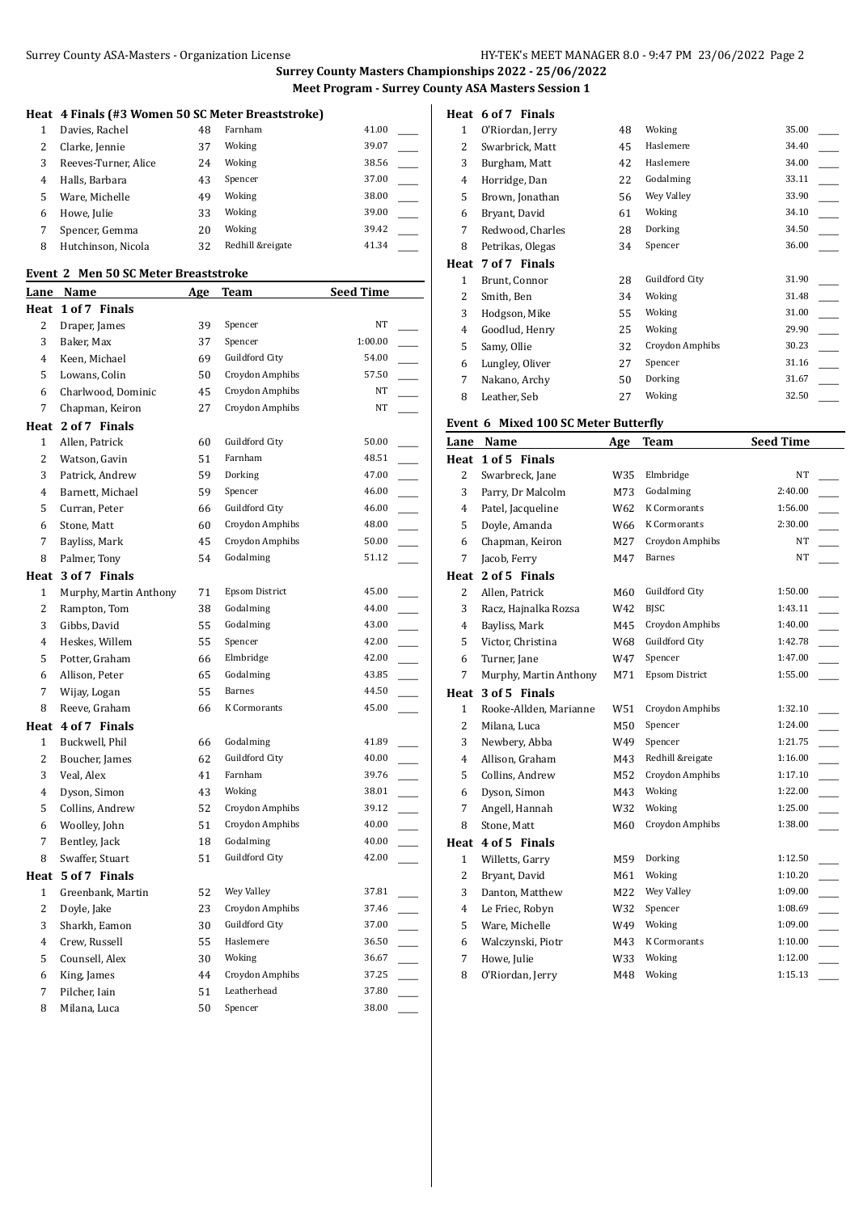# Surrey County ASA-Masters - Organization License HY-TEK's MEET MANAGER 8.0 - 9:47 PM 23/06/2022 Page 2

**Surrey County Masters Championships 2022 - 25/06/2022 Meet Program - Surrey County ASA Masters Session 1**

## **Heat 4 Finals (#3 Women 50 SC Meter Breaststroke)**

|    | Davies, Rachel       | 48 | Farnham          | 41.00 |  |
|----|----------------------|----|------------------|-------|--|
|    | Clarke, Jennie       | 37 | Woking           | 39.07 |  |
| 3  | Reeves-Turner, Alice | 24 | Woking           | 38.56 |  |
| 4  | Halls, Barbara       | 43 | Spencer          | 37.00 |  |
| 5. | Ware, Michelle       | 49 | Woking           | 38.00 |  |
| 6  | Howe, Julie          | 33 | Woking           | 39.00 |  |
|    | Spencer, Gemma       | 20 | Woking           | 39.42 |  |
| 8  | Hutchinson, Nicola   | 32 | Redhill &reigate | 41.34 |  |
|    |                      |    |                  |       |  |

## **Event 2 Men 50 SC Meter Breaststroke**

|                | <u>Lane Name</u>       | <u>Age</u> | <u>Team</u>           | <u>Seed Time</u>                  |
|----------------|------------------------|------------|-----------------------|-----------------------------------|
| Heat           | 1 of 7 Finals          |            |                       |                                   |
| 2              | Draper, James          | 39         | Spencer               | NT                                |
| 3              | Baker, Max             | 37         | Spencer               | 1:00.00                           |
| 4              | Keen, Michael          | 69         | Guildford City        | 54.00                             |
| 5              | Lowans, Colin          | 50         | Croydon Amphibs       | 57.50                             |
| 6              | Charlwood, Dominic     | 45         | Croydon Amphibs       | NT                                |
| 7              | Chapman, Keiron        | 27         | Croydon Amphibs       | NT                                |
| Heat           | 2 of 7 Finals          |            |                       |                                   |
| 1              | Allen, Patrick         | 60         | Guildford City        | 50.00                             |
| $\overline{c}$ | Watson, Gavin          | 51         | Farnham               | 48.51                             |
| 3              | Patrick, Andrew        | 59         | Dorking               | 47.00                             |
| $\overline{4}$ | Barnett, Michael       | 59         | Spencer               | 46.00<br>$\overline{\phantom{a}}$ |
| 5              | Curran, Peter          | 66         | Guildford City        | 46.00                             |
| 6              | Stone, Matt            | 60         | Croydon Amphibs       | 48.00                             |
| 7              | Bayliss, Mark          | 45         | Croydon Amphibs       | 50.00                             |
| 8              | Palmer, Tony           | 54         | Godalming             | 51.12                             |
| Heat           | 3 of 7 Finals          |            |                       |                                   |
| 1              | Murphy, Martin Anthony | 71         | <b>Epsom District</b> | 45.00                             |
| 2              | Rampton, Tom           | 38         | Godalming             | 44.00                             |
| 3              | Gibbs, David           | 55         | Godalming             | 43.00                             |
| 4              | Heskes, Willem         | 55         | Spencer               | 42.00<br>$\overline{\phantom{a}}$ |
| 5              | Potter, Graham         | 66         | Elmbridge             | 42.00                             |
| 6              | Allison, Peter         | 65         | Godalming             | 43.85                             |
| 7              | Wijay, Logan           | 55         | <b>Barnes</b>         | 44.50                             |
| 8              | Reeve, Graham          | 66         | K Cormorants          | 45.00<br>$\sim$                   |
|                | Heat 4 of 7 Finals     |            |                       |                                   |
| $\mathbf{1}$   | Buckwell, Phil         | 66         | Godalming             | 41.89                             |
| 2              | Boucher, James         | 62         | Guildford City        | 40.00                             |
| 3              | Veal, Alex             | 41         | Farnham               | 39.76                             |
| 4              | Dyson, Simon           | 43         | Woking                | 38.01                             |
| 5              | Collins, Andrew        | 52         | Croydon Amphibs       | 39.12                             |
| 6              | Woolley, John          | 51         | Croydon Amphibs       | 40.00                             |
| 7              | Bentley, Jack          | 18         | Godalming             | 40.00                             |
| 8              | Swaffer, Stuart        | 51         | Guildford City        | 42.00                             |
| Heat           | 5 of 7 Finals          |            |                       |                                   |
| 1              | Greenbank, Martin      | 52         | Wey Valley            | 37.81                             |
| 2              | Doyle, Jake            | 23         | Croydon Amphibs       | 37.46                             |
| 3              | Sharkh, Eamon          | 30         | Guildford City        | 37.00                             |
| $\overline{4}$ | Crew, Russell          | 55         | Haslemere             | 36.50                             |
| 5              | Counsell, Alex         | 30         | Woking                | 36.67                             |
| 6              | King, James            | 44         | Croydon Amphibs       | 37.25                             |
|                |                        |            |                       |                                   |
| 7              | Pilcher, Iain          | 51         | Leatherhead           | 37.80                             |

### **Heat 6 of 7 Finals**

| 1    | O'Riordan, Jerry | 48 | Woking          | 35.00 |
|------|------------------|----|-----------------|-------|
| 2    | Swarbrick, Matt  | 45 | Haslemere       | 34.40 |
| 3    | Burgham, Matt    | 42 | Haslemere       | 34.00 |
| 4    | Horridge, Dan    | 22 | Godalming       | 33.11 |
| 5    | Brown, Jonathan  | 56 | Wey Valley      | 33.90 |
| 6    | Bryant, David    | 61 | Woking          | 34.10 |
| 7    | Redwood, Charles | 28 | Dorking         | 34.50 |
| 8    | Petrikas, Olegas | 34 | Spencer         | 36.00 |
| Heat | 7 of 7 Finals    |    |                 |       |
| 1    | Brunt, Connor    | 28 | Guildford City  | 31.90 |
| 2    | Smith, Ben       | 34 | Woking          | 31.48 |
| 3    | Hodgson, Mike    | 55 | Woking          | 31.00 |
| 4    | Goodlud, Henry   | 25 | Woking          | 29.90 |
| 5    | Samy, Ollie      | 32 | Croydon Amphibs | 30.23 |
| 6    | Lungley, Oliver  | 27 | Spencer         | 31.16 |
| 7    | Nakano, Archy    | 50 | Dorking         | 31.67 |
| 8    |                  | 27 | Woking          | 32.50 |

## **Event 6 Mixed 100 SC Meter Butterfly**

| <b>Lane</b>    | Name                   | Age | <b>Team</b>           | <b>Seed Time</b> |
|----------------|------------------------|-----|-----------------------|------------------|
| Heat           | 1 of 5 Finals          |     |                       |                  |
| $\overline{2}$ | Swarbreck, Jane        | W35 | Elmbridge             | <b>NT</b>        |
| 3              | Parry, Dr Malcolm      | M73 | Godalming             | 2:40.00          |
| 4              | Patel, Jacqueline      | W62 | K Cormorants          | 1:56.00          |
| 5              | Doyle, Amanda          | W66 | K Cormorants          | 2:30.00          |
| 6              | Chapman, Keiron        | M27 | Croydon Amphibs       | NT               |
| 7              | Jacob, Ferry           | M47 | <b>Barnes</b>         | NT               |
| Heat           | 2 of 5 Finals          |     |                       |                  |
| $\overline{2}$ | Allen, Patrick         | M60 | <b>Guildford City</b> | 1:50.00          |
| 3              | Racz, Hajnalka Rozsa   | W42 | <b>BJSC</b>           | 1:43.11          |
| $\overline{4}$ | Bayliss, Mark          | M45 | Croydon Amphibs       | 1:40.00          |
| 5              | Victor, Christina      | W68 | Guildford City        | 1:42.78          |
| 6              | Turner, Jane           | W47 | Spencer               | 1:47.00          |
| $\overline{7}$ | Murphy, Martin Anthony | M71 | <b>Epsom District</b> | 1:55.00          |
| Heat           | 3 of 5 Finals          |     |                       |                  |
| $\mathbf{1}$   | Rooke-Allden, Marianne | W51 | Croydon Amphibs       | 1:32.10          |
| $\overline{2}$ | Milana, Luca           | M50 | Spencer               | 1:24.00          |
| 3              | Newbery, Abba          | W49 | Spencer               | 1:21.75          |
| $\overline{4}$ | Allison, Graham        | M43 | Redhill &reigate      | 1:16.00          |
| 5              | Collins, Andrew        | M52 | Croydon Amphibs       | 1:17.10          |
| 6              | Dyson, Simon           | M43 | Woking                | 1:22.00          |
| 7              | Angell, Hannah         | W32 | Woking                | 1:25.00          |
| 8              | Stone, Matt            | M60 | Croydon Amphibs       | 1:38.00          |
| Heat           | 4 of 5 Finals          |     |                       |                  |
| $\mathbf{1}$   | Willetts, Garry        | M59 | Dorking               | 1:12.50          |
| $\overline{c}$ | Bryant, David          | M61 | Woking                | 1:10.20          |
| 3              | Danton, Matthew        | M22 | Wey Valley            | 1:09.00          |
| $\overline{4}$ | Le Friec, Robyn        | W32 | Spencer               | 1:08.69          |
| 5              | Ware, Michelle         | W49 | Woking                | 1:09.00          |
| 6              | Walczynski, Piotr      | M43 | <b>K</b> Cormorants   | 1:10.00          |
| $\overline{7}$ | Howe, Julie            | W33 | Woking                | 1:12.00          |
| 8              | O'Riordan, Jerry       | M48 | Woking                | 1:15.13          |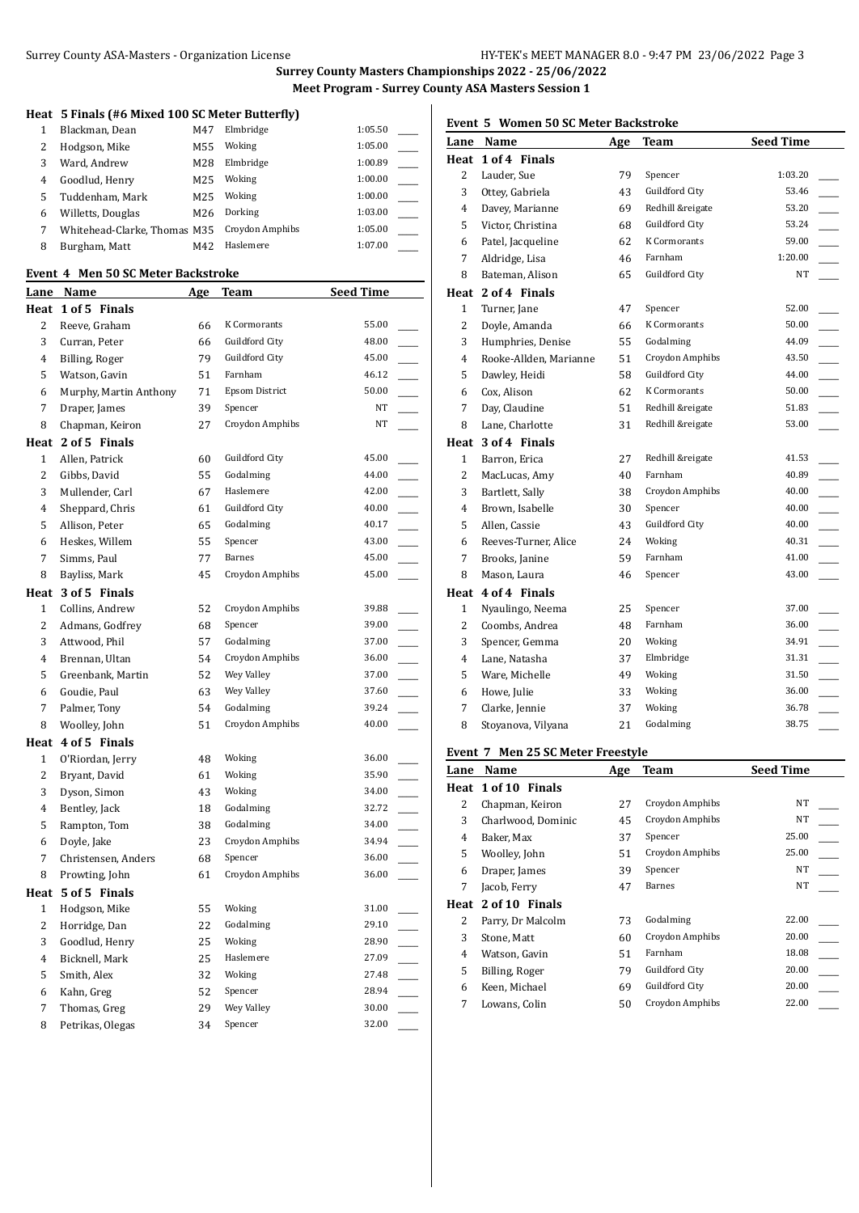## **Heat 5 Finals (#6 Mixed 100 SC Meter Butterfly)**

|   | Blackman, Dean               | M47 | Elmbridge       | 1:05.50 |  |
|---|------------------------------|-----|-----------------|---------|--|
|   | Hodgson, Mike                | M55 | Woking          | 1:05.00 |  |
| 3 | Ward, Andrew                 | M28 | Elmbridge       | 1:00.89 |  |
| 4 | Goodlud, Henry               | M25 | Woking          | 1:00.00 |  |
| 5 | Tuddenham, Mark              | M25 | Woking          | 1:00.00 |  |
| 6 | Willetts, Douglas            | M26 | Dorking         | 1:03.00 |  |
|   | Whitehead-Clarke, Thomas M35 |     | Croydon Amphibs | 1:05.00 |  |
| 8 | Burgham, Matt                | M42 | Haslemere       | 1:07.00 |  |
|   |                              |     |                 |         |  |

### **Event 4 Men 50 SC Meter Backstroke**

| <u>Lane</u>    | <b>Name</b>            | <b>Age</b> | <b>Team</b>           | <b>Seed Time</b> |  |
|----------------|------------------------|------------|-----------------------|------------------|--|
| Heat           | 1 of 5 Finals          |            |                       |                  |  |
| 2              | Reeve, Graham          | 66         | K Cormorants          | 55.00            |  |
| 3              | Curran, Peter          | 66         | Guildford City        | 48.00            |  |
| 4              | Billing, Roger         | 79         | Guildford City        | 45.00            |  |
| 5              | Watson, Gavin          | 51         | Farnham               | 46.12            |  |
| 6              | Murphy, Martin Anthony | 71         | <b>Epsom District</b> | 50.00            |  |
| 7              | Draper, James          | 39         | Spencer               | NT               |  |
| 8              | Chapman, Keiron        | 27         | Croydon Amphibs       | NT               |  |
|                | Heat 2 of 5 Finals     |            |                       |                  |  |
| $\mathbf{1}$   | Allen, Patrick         | 60         | Guildford City        | 45.00            |  |
| 2              | Gibbs, David           | 55         | Godalming             | 44.00            |  |
| 3              | Mullender, Carl        | 67         | Haslemere             | 42.00            |  |
| 4              | Sheppard, Chris        | 61         | Guildford City        | 40.00            |  |
| 5              | Allison, Peter         | 65         | Godalming             | 40.17            |  |
| 6              | Heskes, Willem         | 55         | Spencer               | 43.00            |  |
| 7              | Simms, Paul            | 77         | Barnes                | 45.00            |  |
| 8              | Bayliss, Mark          | 45         | Croydon Amphibs       | 45.00            |  |
| Heat           | 3 of 5 Finals          |            |                       |                  |  |
| 1              | Collins, Andrew        | 52         | Croydon Amphibs       | 39.88            |  |
| $\overline{c}$ | Admans, Godfrey        | 68         | Spencer               | 39.00            |  |
| 3              | Attwood, Phil          | 57         | Godalming             | 37.00            |  |
| 4              | Brennan, Ultan         | 54         | Croydon Amphibs       | 36.00            |  |
| 5              | Greenbank, Martin      | 52         | Wey Valley            | 37.00            |  |
| 6              | Goudie, Paul           | 63         | Wey Valley            | 37.60            |  |
| 7              | Palmer, Tony           | 54         | Godalming             | 39.24            |  |
| 8              | Woolley, John          | 51         | Croydon Amphibs       | 40.00            |  |
|                | Heat 4 of 5 Finals     |            |                       |                  |  |
| $\mathbf{1}$   | O'Riordan, Jerry       | 48         | Woking                | 36.00            |  |
| 2              | Bryant, David          | 61         | Woking                | 35.90            |  |
| 3              | Dyson, Simon           | 43         | Woking                | 34.00            |  |
| 4              | Bentley, Jack          | 18         | Godalming             | 32.72            |  |
| 5              | Rampton, Tom           | 38         | Godalming             | 34.00            |  |
| 6              | Doyle, Jake            | 23         | Croydon Amphibs       | 34.94            |  |
| 7              | Christensen, Anders    | 68         | Spencer               | 36.00            |  |
| 8              | Prowting, John         | 61         | Croydon Amphibs       | 36.00            |  |
|                | Heat 5 of 5 Finals     |            |                       |                  |  |
| $\mathbf{1}$   | Hodgson, Mike          | 55         | Woking                | 31.00            |  |
| 2              | Horridge, Dan          | 22         | Godalming             | 29.10            |  |
| 3              | Goodlud, Henry         | 25         | Woking                | 28.90            |  |
| 4              | Bicknell, Mark         | 25         | Haslemere             | 27.09            |  |
| 5              | Smith, Alex            | 32         | Woking                | 27.48            |  |
| 6              | Kahn, Greg             | 52         | Spencer               | 28.94            |  |
| 7              | Thomas, Greg           | 29         | Wey Valley            | 30.00            |  |
| 8              | Petrikas, Olegas       | 34         | Spencer               | 32.00            |  |
|                |                        |            |                       |                  |  |

# **Event 5 Women 50 SC Meter Backstroke**

| Lane           | Name                   | Age | Team                  | <b>Seed Time</b> |
|----------------|------------------------|-----|-----------------------|------------------|
| Heat           | 1 of 4 Finals          |     |                       |                  |
| 2              | Lauder, Sue            | 79  | Spencer               | 1:03.20          |
| 3              | Ottey, Gabriela        | 43  | Guildford City        | 53.46            |
| 4              | Davey, Marianne        | 69  | Redhill &reigate      | 53.20            |
| 5              | Victor, Christina      | 68  | Guildford City        | 53.24            |
| 6              | Patel, Jacqueline      | 62  | K Cormorants          | 59.00            |
| 7              | Aldridge, Lisa         | 46  | Farnham               | 1:20.00          |
| 8              | Bateman, Alison        | 65  | Guildford City        | NT               |
|                | Heat 2 of 4 Finals     |     |                       |                  |
| $\mathbf{1}$   | Turner, Jane           | 47  | Spencer               | 52.00            |
| $\overline{2}$ | Doyle, Amanda          | 66  | K Cormorants          | 50.00            |
| 3              | Humphries, Denise      | 55  | Godalming             | 44.09            |
| 4              | Rooke-Allden, Marianne | 51  | Croydon Amphibs       | 43.50            |
| 5              | Dawley, Heidi          | 58  | <b>Guildford City</b> | 44.00            |
| 6              | Cox, Alison            | 62  | K Cormorants          | 50.00            |
| 7              | Day, Claudine          | 51  | Redhill &reigate      | 51.83            |
| 8              | Lane, Charlotte        | 31  | Redhill &reigate      | 53.00            |
|                | Heat 3 of 4 Finals     |     |                       |                  |
| $\mathbf{1}$   | Barron, Erica          | 27  | Redhill &reigate      | 41.53            |
| $\overline{c}$ | MacLucas, Amy          | 40  | Farnham               | 40.89            |
| 3              | Bartlett, Sally        | 38  | Croydon Amphibs       | 40.00            |
| 4              | Brown, Isabelle        | 30  | Spencer               | 40.00            |
| 5              | Allen, Cassie          | 43  | Guildford City        | 40.00            |
| 6              | Reeves-Turner, Alice   | 24  | Woking                | 40.31            |
| 7              | Brooks, Janine         | 59  | Farnham               | 41.00            |
| 8              | Mason, Laura           | 46  | Spencer               | 43.00            |
| Heat           | 4 of 4 Finals          |     |                       |                  |
| $\mathbf{1}$   | Nyaulingo, Neema       | 25  | Spencer               | 37.00            |
| $\overline{2}$ | Coombs, Andrea         | 48  | Farnham               | 36.00            |
| 3              | Spencer, Gemma         | 20  | Woking                | 34.91            |
| 4              | Lane, Natasha          | 37  | Elmbridge             | 31.31            |
| 5              | Ware, Michelle         | 49  | Woking                | 31.50            |
| 6              | Howe, Julie            | 33  | Woking                | 36.00            |
| 7              | Clarke, Jennie         | 37  | Woking                | 36.78            |
| 8              | Stoyanova, Vilyana     | 21  | Godalming             | 38.75            |

## **Event 7 Men 25 SC Meter Freestyle**

| Lane | Name                | Age | <b>Team</b>     | <b>Seed Time</b> |
|------|---------------------|-----|-----------------|------------------|
|      | Heat 1 of 10 Finals |     |                 |                  |
| 2    | Chapman, Keiron     | 27  | Croydon Amphibs | NT               |
| 3    | Charlwood, Dominic  | 45  | Croydon Amphibs | NT               |
| 4    | Baker, Max          | 37  | Spencer         | 25.00            |
| 5    | Woolley, John       | 51  | Croydon Amphibs | 25.00            |
| 6    | Draper, James       | 39  | Spencer         | <b>NT</b>        |
| 7    | Jacob, Ferry        | 47  | <b>Barnes</b>   | <b>NT</b>        |
| Heat | 2 of 10 Finals      |     |                 |                  |
| 2    | Parry, Dr Malcolm   | 73  | Godalming       | 22.00            |
| 3    | Stone, Matt         | 60  | Croydon Amphibs | 20.00            |
| 4    | Watson, Gavin       | 51  | Farnham         | 18.08            |
| 5    | Billing, Roger      | 79  | Guildford City  | 20.00            |
| 6    | Keen, Michael       | 69  | Guildford City  | 20.00            |
| 7    | Lowans, Colin       | 50  | Croydon Amphibs | 22.00            |
|      |                     |     |                 |                  |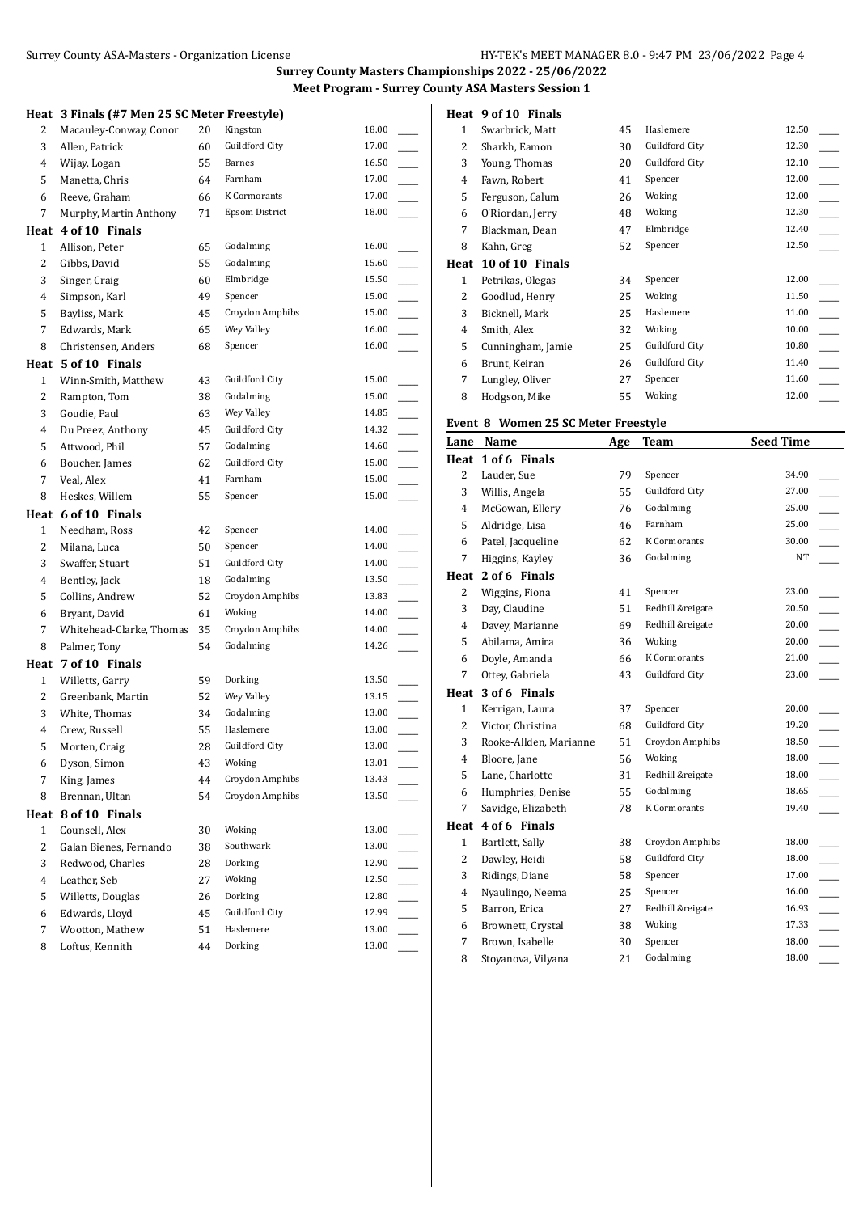|                | Heat 3 Finals (#7 Men 25 SC Meter Freestyle) |    |                       |       |                          |
|----------------|----------------------------------------------|----|-----------------------|-------|--------------------------|
| 2              | Macauley-Conway, Conor                       | 20 | Kingston              | 18.00 |                          |
| 3              | Allen, Patrick                               | 60 | Guildford City        | 17.00 |                          |
| 4              | Wijay, Logan                                 | 55 | Barnes                | 16.50 |                          |
| 5              | Manetta, Chris                               | 64 | Farnham               | 17.00 |                          |
| 6              | Reeve, Graham                                | 66 | K Cormorants          | 17.00 |                          |
| 7              | Murphy, Martin Anthony                       | 71 | <b>Epsom District</b> | 18.00 |                          |
|                | Heat 4 of 10 Finals                          |    |                       |       |                          |
| 1              | Allison, Peter                               | 65 | Godalming             | 16.00 |                          |
| 2              | Gibbs, David                                 | 55 | Godalming             | 15.60 |                          |
| 3              | Singer, Craig                                | 60 | Elmbridge             | 15.50 |                          |
| 4              | Simpson, Karl                                | 49 | Spencer               | 15.00 |                          |
| 5              | Bayliss, Mark                                | 45 | Croydon Amphibs       | 15.00 |                          |
| 7              | Edwards, Mark                                | 65 | Wey Valley            | 16.00 |                          |
| 8              | Christensen, Anders                          | 68 | Spencer               | 16.00 |                          |
|                | Heat 5 of 10 Finals                          |    |                       |       |                          |
| $\mathbf{1}$   | Winn-Smith, Matthew                          | 43 | Guildford City        | 15.00 |                          |
| 2              | Rampton, Tom                                 | 38 | Godalming             | 15.00 |                          |
| 3              | Goudie, Paul                                 | 63 | Wey Valley            | 14.85 |                          |
| 4              | Du Preez, Anthony                            | 45 | Guildford City        | 14.32 |                          |
| 5              | Attwood, Phil                                | 57 | Godalming             | 14.60 |                          |
| 6              | Boucher, James                               | 62 | Guildford City        | 15.00 |                          |
| 7              | Veal, Alex                                   | 41 | Farnham               | 15.00 |                          |
| 8              | Heskes, Willem                               | 55 | Spencer               | 15.00 |                          |
| Heat           | 6 of 10 Finals                               |    |                       |       |                          |
| 1              | Needham, Ross                                | 42 | Spencer               | 14.00 |                          |
| 2              | Milana, Luca                                 | 50 | Spencer               | 14.00 |                          |
| 3              | Swaffer, Stuart                              | 51 | Guildford City        | 14.00 |                          |
| 4              | Bentley, Jack                                | 18 | Godalming             | 13.50 |                          |
| 5              | Collins, Andrew                              | 52 | Croydon Amphibs       | 13.83 |                          |
| 6              | Bryant, David                                | 61 | Woking                | 14.00 |                          |
| 7              | Whitehead-Clarke, Thomas                     | 35 | Croydon Amphibs       | 14.00 |                          |
| 8              | Palmer, Tony                                 | 54 | Godalming             | 14.26 |                          |
|                | Heat 7 of 10 Finals                          |    |                       |       |                          |
| 1              | Willetts, Garry                              | 59 | Dorking               | 13.50 |                          |
| 2              | Greenbank, Martin                            | 52 | Wey Valley            | 13.15 |                          |
| 3              | White, Thomas                                | 34 | Godalming             | 13.00 |                          |
| 4              | Crew, Russell                                | 55 | Haslemere             | 13.00 |                          |
| 5              | Morten, Craig                                | 28 | Guildford City        | 13.00 |                          |
| 6              | Dyson, Simon                                 | 43 | Woking                | 13.01 |                          |
| 7              | King, James                                  | 44 | Croydon Amphibs       | 13.43 |                          |
| 8              | Brennan, Ultan                               | 54 | Croydon Amphibs       | 13.50 |                          |
|                | Heat 8 of 10 Finals                          |    |                       |       |                          |
| $\mathbf{1}$   | Counsell, Alex                               | 30 | Woking                | 13.00 |                          |
| $\overline{c}$ | Galan Bienes, Fernando                       | 38 | Southwark             | 13.00 |                          |
| 3              | Redwood, Charles                             | 28 | Dorking               | 12.90 |                          |
| $\overline{4}$ | Leather, Seb                                 | 27 | Woking                | 12.50 |                          |
| 5              | Willetts, Douglas                            | 26 | Dorking               | 12.80 |                          |
| 6              | Edwards, Lloyd                               | 45 | Guildford City        | 12.99 |                          |
| 7              | Wootton, Mathew                              | 51 | Haslemere             | 13.00 | $\overline{\phantom{a}}$ |
| 8              | Loftus, Kennith                              | 44 | Dorking               | 13.00 |                          |

| Heat         | 9 of 10 Finals    |    |                |       |
|--------------|-------------------|----|----------------|-------|
| 1            | Swarbrick, Matt   | 45 | Haslemere      | 12.50 |
| 2            | Sharkh, Eamon     | 30 | Guildford City | 12.30 |
| 3            | Young, Thomas     | 20 | Guildford City | 12.10 |
| 4            | Fawn, Robert      | 41 | Spencer        | 12.00 |
| 5            | Ferguson, Calum   | 26 | Woking         | 12.00 |
| 6            | O'Riordan, Jerry  | 48 | Woking         | 12.30 |
| 7            | Blackman, Dean    | 47 | Elmbridge      | 12.40 |
| 8            | Kahn, Greg        | 52 | Spencer        | 12.50 |
|              |                   |    |                |       |
| Heat         | 10 of 10 Finals   |    |                |       |
| $\mathbf{1}$ | Petrikas, Olegas  | 34 | Spencer        | 12.00 |
| 2            | Goodlud, Henry    | 25 | Woking         | 11.50 |
| 3            | Bicknell, Mark    | 25 | Haslemere      | 11.00 |
| 4            | Smith, Alex       | 32 | Woking         | 10.00 |
| 5            | Cunningham, Jamie | 25 | Guildford City | 10.80 |
| 6            | Brunt, Keiran     | 26 | Guildford City | 11.40 |
| 7            | Lungley, Oliver   | 27 | Spencer        | 11.60 |

## **Event 8 Women 25 SC Meter Freestyle**

| Lane           | Name                   | Age | Team                  | <b>Seed Time</b> |
|----------------|------------------------|-----|-----------------------|------------------|
| Heat           | 1 of 6 Finals          |     |                       |                  |
| $\overline{2}$ | Lauder, Sue            | 79  | Spencer               | 34.90            |
| 3              | Willis, Angela         | 55  | <b>Guildford City</b> | 27.00            |
| $\overline{4}$ | McGowan, Ellery        | 76  | Godalming             | 25.00            |
| 5              | Aldridge, Lisa         | 46  | Farnham               | 25.00            |
| 6              | Patel, Jacqueline      | 62  | <b>K</b> Cormorants   | 30.00            |
| 7              | Higgins, Kayley        | 36  | Godalming             | NT               |
|                | Heat 2 of 6 Finals     |     |                       |                  |
| 2              | Wiggins, Fiona         | 41  | Spencer               | 23.00            |
| 3              | Day, Claudine          | 51  | Redhill &reigate      | 20.50            |
| $\overline{4}$ | Davey, Marianne        | 69  | Redhill &reigate      | 20.00            |
| 5              | Abilama, Amira         | 36  | Woking                | 20.00            |
| 6              | Doyle, Amanda          | 66  | <b>K</b> Cormorants   | 21.00            |
| 7              | Ottey, Gabriela        | 43  | Guildford City        | 23.00            |
| Heat           | 3 of 6 Finals          |     |                       |                  |
| $\mathbf{1}$   | Kerrigan, Laura        | 37  | Spencer               | 20.00            |
| 2              | Victor, Christina      | 68  | Guildford City        | 19.20            |
| 3              | Rooke-Allden, Marianne | 51  | Croydon Amphibs       | 18.50            |
| $\overline{4}$ | Bloore, Jane           | 56  | Woking                | 18.00            |
| 5              | Lane, Charlotte        | 31  | Redhill &reigate      | 18.00            |
| 6              | Humphries, Denise      | 55  | Godalming             | 18.65            |
| 7              | Savidge, Elizabeth     | 78  | K Cormorants          | 19.40            |
| Heat           | 4 of 6 Finals          |     |                       |                  |
| $\mathbf{1}$   | Bartlett, Sally        | 38  | Croydon Amphibs       | 18.00            |
| $\overline{c}$ | Dawley, Heidi          | 58  | Guildford City        | 18.00            |
| 3              | Ridings, Diane         | 58  | Spencer               | 17.00            |
| $\overline{4}$ | Nyaulingo, Neema       | 25  | Spencer               | 16.00            |
| 5              | Barron, Erica          | 27  | Redhill &reigate      | 16.93            |
| 6              | Brownett, Crystal      | 38  | Woking                | 17.33            |
| 7              | Brown, Isabelle        | 30  | Spencer               | 18.00            |
| 8              | Stoyanova, Vilyana     | 21  | Godalming             | 18.00            |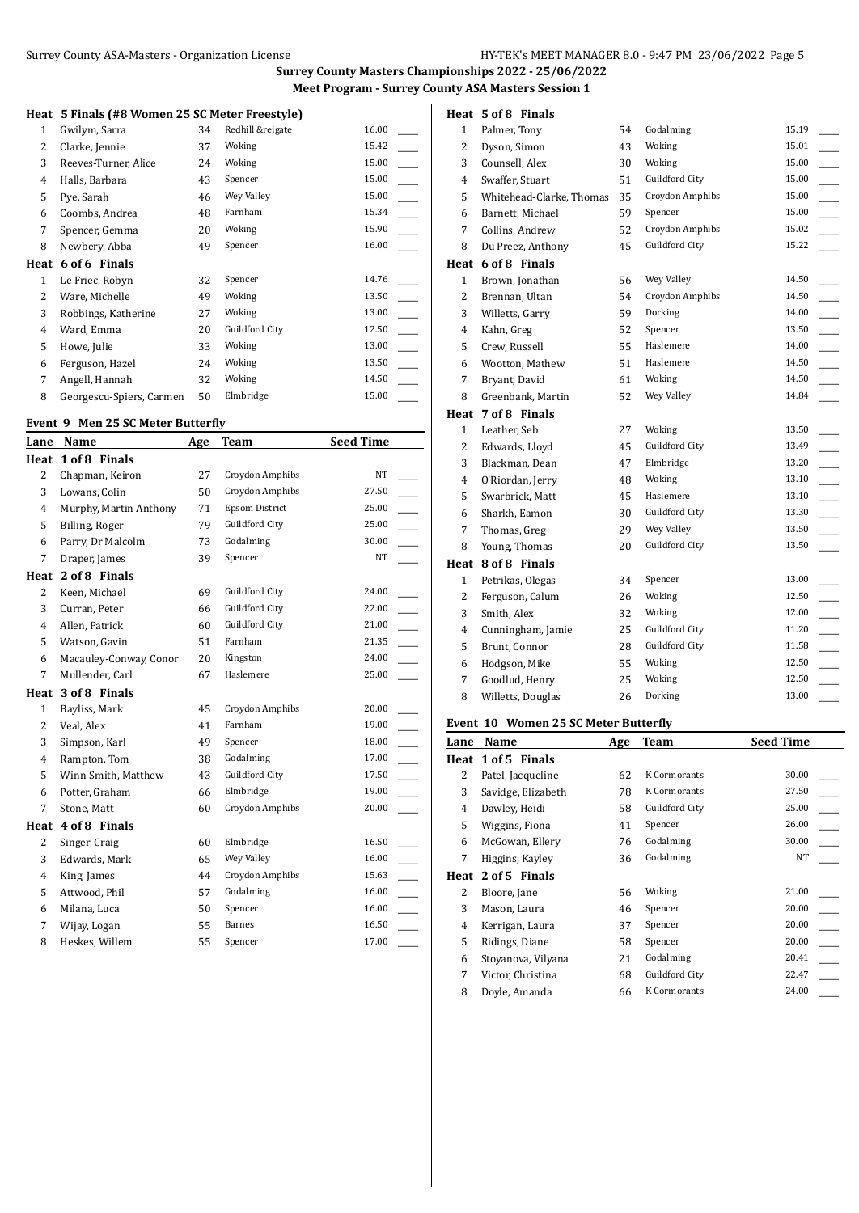### **Heat 5 Finals (#8 Women 25 SC Meter Freestyle)**

|      | $\sigma$ . The state of $\sigma$ is the state of $\sigma$ is the state of $\sigma$ |    |                  |       |  |
|------|------------------------------------------------------------------------------------|----|------------------|-------|--|
| 1    | Gwilym, Sarra                                                                      | 34 | Redhill &reigate | 16.00 |  |
| 2    | Clarke, Jennie                                                                     | 37 | Woking           | 15.42 |  |
| 3    | Reeves-Turner, Alice                                                               | 24 | Woking           | 15.00 |  |
| 4    | Halls, Barbara                                                                     | 43 | Spencer          | 15.00 |  |
| 5    | Pye, Sarah                                                                         | 46 | Wey Valley       | 15.00 |  |
| 6    | Coombs, Andrea                                                                     | 48 | Farnham          | 15.34 |  |
| 7    | Spencer, Gemma                                                                     | 20 | Woking           | 15.90 |  |
| 8    | Newbery, Abba                                                                      | 49 | Spencer          | 16.00 |  |
| Heat | 6 of 6 Finals                                                                      |    |                  |       |  |
| 1    | Le Friec, Robyn                                                                    | 32 | Spencer          | 14.76 |  |
| 2    | Ware, Michelle                                                                     | 49 | Woking           | 13.50 |  |
| 3    | Robbings, Katherine                                                                | 27 | Woking           | 13.00 |  |
| 4    | Ward, Emma                                                                         | 20 | Guildford City   | 12.50 |  |
| 5    | Howe, Julie                                                                        | 33 | Woking           | 13.00 |  |
| 6    | Ferguson, Hazel                                                                    | 24 | Woking           | 13.50 |  |
| 7    | Angell, Hannah                                                                     | 32 | Woking           | 14.50 |  |
| 8    | Georgescu-Spiers, Carmen                                                           | 50 | Elmbridge        | 15.00 |  |

## **Event 9 Men 25 SC Meter Butterfly**

| Lane           | <b>Name</b>            | Age | <b>Team</b>           | <b>Seed Time</b> |
|----------------|------------------------|-----|-----------------------|------------------|
| Heat           | 1 of 8 Finals          |     |                       |                  |
| $\overline{2}$ | Chapman, Keiron        | 27  | Croydon Amphibs       | NT               |
| 3              | Lowans, Colin          | 50  | Croydon Amphibs       | 27.50            |
| $\overline{4}$ | Murphy, Martin Anthony | 71  | <b>Epsom District</b> | 25.00            |
| 5              | Billing, Roger         | 79  | Guildford City        | 25.00            |
| 6              | Parry, Dr Malcolm      | 73  | Godalming             | 30.00            |
| 7              | Draper, James          | 39  | Spencer               | <b>NT</b>        |
| Heat           | 2 of 8 Finals          |     |                       |                  |
| $\overline{2}$ | Keen, Michael          | 69  | Guildford City        | 24.00            |
| 3              | Curran, Peter          | 66  | Guildford City        | 22.00            |
| $\overline{4}$ | Allen, Patrick         | 60  | Guildford City        | 21.00            |
| 5              | Watson, Gavin          | 51  | Farnham               | 21.35            |
| 6              | Macauley-Conway, Conor | 20  | Kingston              | 24.00            |
| 7              | Mullender, Carl        | 67  | Haslemere             | 25.00            |
| Heat           | 3 of 8 Finals          |     |                       |                  |
| $\mathbf{1}$   | Bayliss, Mark          | 45  | Croydon Amphibs       | 20.00            |
| $\overline{2}$ | Veal, Alex             | 41  | Farnham               | 19.00            |
| 3              | Simpson, Karl          | 49  | Spencer               | 18.00            |
| $\overline{4}$ | Rampton, Tom           | 38  | Godalming             | 17.00            |
| 5              | Winn-Smith, Matthew    | 43  | Guildford City        | 17.50            |
| 6              | Potter, Graham         | 66  | Elmbridge             | 19.00            |
| $\overline{7}$ | Stone, Matt            | 60  | Croydon Amphibs       | 20.00            |
| Heat           | 4 of 8 Finals          |     |                       |                  |
| 2              | Singer, Craig          | 60  | Elmbridge             | 16.50            |
| 3              | Edwards, Mark          | 65  | Wey Valley            | 16.00            |
| $\overline{4}$ | King, James            | 44  | Croydon Amphibs       | 15.63            |
| 5              | Attwood, Phil          | 57  | Godalming             | 16.00            |
| 6              | Milana, Luca           | 50  | Spencer               | 16.00            |
| 7              | Wijay, Logan           | 55  | <b>Barnes</b>         | 16.50            |
| 8              | Heskes, Willem         | 55  | Spencer               | 17.00            |

## **Heat 5 of 8 Finals**

| 1              | Palmer, Tony             | 54 | Godalming             | 15.19 |
|----------------|--------------------------|----|-----------------------|-------|
| $\overline{2}$ | Dyson, Simon             | 43 | Woking                | 15.01 |
| 3              | Counsell, Alex           | 30 | Woking                | 15.00 |
| $\overline{4}$ | Swaffer, Stuart          | 51 | Guildford City        | 15.00 |
| 5              | Whitehead-Clarke, Thomas | 35 | Croydon Amphibs       | 15.00 |
| 6              | Barnett, Michael         | 59 | Spencer               | 15.00 |
| 7              | Collins, Andrew          | 52 | Croydon Amphibs       | 15.02 |
| 8              | Du Preez, Anthony        | 45 | Guildford City        | 15.22 |
| Heat           | 6 of 8 Finals            |    |                       |       |
| $\mathbf{1}$   | Brown, Jonathan          | 56 | Wey Valley            | 14.50 |
| $\overline{2}$ | Brennan, Ultan           | 54 | Croydon Amphibs       | 14.50 |
| 3              | Willetts, Garry          | 59 | Dorking               | 14.00 |
| $\overline{4}$ | Kahn, Greg               | 52 | Spencer               | 13.50 |
| 5              | Crew, Russell            | 55 | Haslemere             | 14.00 |
| 6              | Wootton, Mathew          | 51 | Haslemere             | 14.50 |
| 7              | Bryant, David            | 61 | Woking                | 14.50 |
| 8              | Greenbank, Martin        | 52 | Wey Valley            | 14.84 |
| Heat           | 7 of 8 Finals            |    |                       |       |
| $\mathbf{1}$   | Leather, Seb             | 27 | Woking                | 13.50 |
| $\overline{2}$ | Edwards, Lloyd           | 45 | Guildford City        | 13.49 |
| 3              | Blackman, Dean           | 47 | Elmbridge             | 13.20 |
| $\overline{4}$ | O'Riordan, Jerry         | 48 | Woking                | 13.10 |
| 5              | Swarbrick, Matt          | 45 | Haslemere             | 13.10 |
| 6              | Sharkh, Eamon            | 30 | Guildford City        | 13.30 |
| 7              | Thomas, Greg             | 29 | Wey Valley            | 13.50 |
| 8              | Young, Thomas            | 20 | <b>Guildford City</b> | 13.50 |
| Heat           | 8 of 8 Finals            |    |                       |       |
| $\mathbf{1}$   | Petrikas, Olegas         | 34 | Spencer               | 13.00 |
| $\overline{c}$ | Ferguson, Calum          | 26 | Woking                | 12.50 |
| 3              | Smith, Alex              | 32 | Woking                | 12.00 |
| 4              | Cunningham, Jamie        | 25 | Guildford City        | 11.20 |
| 5              | Brunt, Connor            | 28 | Guildford City        | 11.58 |
| 6              | Hodgson, Mike            | 55 | Woking                | 12.50 |
| 7              | Goodlud, Henry           | 25 | Woking                | 12.50 |
| 8              | Willetts, Douglas        | 26 | Dorking               | 13.00 |
|                |                          |    |                       |       |

# **Event 10 Women 25 SC Meter Butterfly**

| Name               | Age | Team           | <b>Seed Time</b> |
|--------------------|-----|----------------|------------------|
| 1 of 5 Finals      |     |                |                  |
| Patel, Jacqueline  | 62  | K Cormorants   | 30.00            |
| Savidge, Elizabeth | 78  | K Cormorants   | 27.50            |
| Dawley, Heidi      | 58  | Guildford City | 25.00            |
| Wiggins, Fiona     | 41  | Spencer        | 26.00            |
| McGowan, Ellery    | 76  | Godalming      | 30.00            |
| Higgins, Kayley    | 36  | Godalming      | NT               |
| 2 of 5 Finals      |     |                |                  |
| Bloore, Jane       | 56  | Woking         | 21.00            |
| Mason, Laura       | 46  | Spencer        | 20.00            |
| Kerrigan, Laura    | 37  | Spencer        | 20.00            |
| Ridings, Diane     | 58  | Spencer        | 20.00            |
| Stovanova, Vilyana | 21  | Godalming      | 20.41            |
| Victor, Christina  | 68  | Guildford City | 22.47            |
| Doyle, Amanda      | 66  | K Cormorants   | 24.00            |
|                    |     |                |                  |